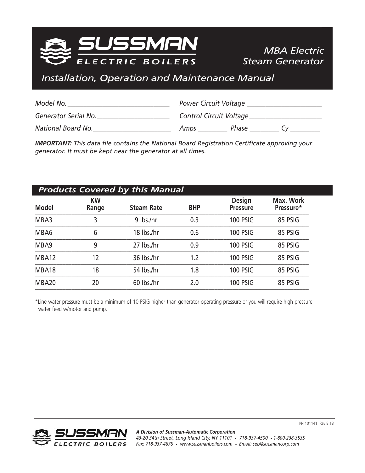

# *MBA Electric Steam Generator*

# *Installation, Operation and Maintenance Manual*

| Model No.            | <b>Power Circuit Voltage</b> |
|----------------------|------------------------------|
| Generator Serial No. | Control Circuit Voltage      |
| National Board No.   | Phase<br>Amps                |

*IMPORTANT: This data file contains the National Board Registration Certificate approving your generator. It must be kept near the generator at all times.*

| <b>Products Covered by this Manual</b> |                    |                   |            |                                  |                        |
|----------------------------------------|--------------------|-------------------|------------|----------------------------------|------------------------|
| <b>Model</b>                           | <b>KW</b><br>Range | <b>Steam Rate</b> | <b>BHP</b> | <b>Design</b><br><b>Pressure</b> | Max. Work<br>Pressure* |
| MBA3                                   | 3                  | $9$ lbs./hr       | 0.3        | <b>100 PSIG</b>                  | 85 PSIG                |
| MBA6                                   | 6                  | 18 lbs./hr        | 0.6        | <b>100 PSIG</b>                  | 85 PSIG                |
| MBA9                                   | 9                  | 27 lbs./hr        | 0.9        | <b>100 PSIG</b>                  | 85 PSIG                |
| MBA12                                  | 12                 | 36 lbs./hr        | 1.2        | <b>100 PSIG</b>                  | 85 PSIG                |
| MBA18                                  | 18                 | 54 lbs./hr        | 1.8        | <b>100 PSIG</b>                  | 85 PSIG                |
| <b>MBA20</b>                           | 20                 | 60 lbs./hr        | 2.0        | <b>100 PSIG</b>                  | 85 PSIG                |

\*Line water pressure must be a minimum of 10 PSIG higher than generator operating pressure or you will require high pressure water feed w/motor and pump.

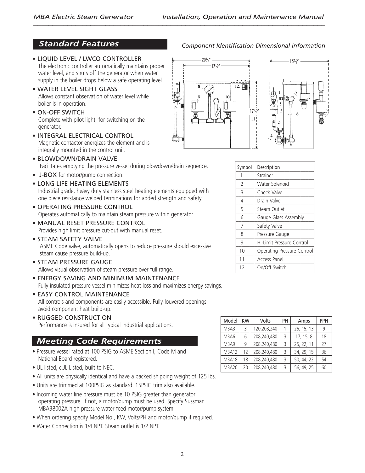## *Standard Features*

- LIQUID LEVEL / LWCO CONTROLLER The electronic controller automatically maintains proper water level, and shuts off the generator when water supply in the boiler drops below a safe operating level.
- WATER LEVEL SIGHT GLASS Allows constant observation of water level while boiler is in operation.
- ON-OFF SWITCH Complete with pilot light, for switching on the generator.
- INTEGRAL ELECTRICAL CONTROL Magnetic contactor energizes the element and is integrally mounted in the control unit.
- BLOWDOWN/DRAIN VALVE Facilitates emptying the pressure vessel during blowdown/drain sequence.
- J-BOX for motor/pump connection.
- LONG LIFE HEATING ELEMENTS Industrial grade, heavy duty stainless steel heating elements equipped with one piece resistance welded terminations for added strength and safety.
- OPERATING PRESSURE CONTROL Operates automatically to maintain steam pressure within generator.
- MANUAL RESET PRESSURE CONTROL Provides high limit pressure cut-out with manual reset.
- STEAM SAFETY VALVE ASME Code valve, automatically opens to reduce pressure should excessive steam cause pressure build-up.
- STEAM PRESSURE GAUGE Allows visual observation of steam pressure over full range.
- ENERGY SAVING AND MINIMUM MAINTENANCE Fully insulated pressure vessel minimizes heat loss and maximizes energy savings.
- EASY CONTROL MAINTENANCE All controls and components are easily accessible. Fully-louvered openings avoid component heat build-up.
- RUGGED CONSTRUCTION Performance is insured for all typical industrial applications.

## *Meeting Code Requirements*

- Pressure vessel rated at 100 PSIG to ASME Section I, Code M and National Board registered.
- UL listed, cUL Listed, built to NEC.
- All units are physically identical and have a packed shipping weight of 125 lbs.
- Units are trimmed at 100PSIG as standard. 15PSIG trim also available.
- Incoming water line pressure must be 10 PSIG greater than generator operating pressure. If not, a motor/pump must be used. Specify Sussman MBA38002A high pressure water feed motor/pump system.
- When ordering specify Model No., KW, Volts/PH and motor/pump if required.
- Water Connection is 1/4 NPT. Steam outlet is 1/2 NPT.



| Symbol | Description                |  |
|--------|----------------------------|--|
| 1      | Strainer                   |  |
| 2      | Water Solenoid             |  |
| 3      | Check Valve                |  |
| 4      | Drain Valve                |  |
| 5      | Steam Outlet               |  |
| 6      | Gauge Glass Assembly       |  |
| 7      | Safety Valve               |  |
| 8      | Pressure Gauge             |  |
| 9      | Hi-Limit Pressure Control  |  |
| 10     | Operating Pressure Control |  |
| 11     | Access Panel               |  |
| 12     | On/Off Switch              |  |

| Model | KW | Volts       | PН | Amps       | PPH |
|-------|----|-------------|----|------------|-----|
| MBA3  | 3  | 120,208,240 |    | 25, 15, 13 | 9   |
| MBA6  | 6  | 208,240,480 | Β  | 17, 15, 8  | 18  |
| MBA9  | 9  | 208,240,480 | ξ  | 25, 22, 11 | 27  |
| MBA12 | 12 | 208,240,480 | ξ  | 34, 29, 15 | 36  |
| MBA18 | 18 | 208,240,480 | Β  | 50, 44, 22 | 54  |
| MBA20 | 20 | 208,240,480 | 3  | 56, 49, 25 | 60  |

#### *Component Identification Dimensional Information*

153 ⁄4"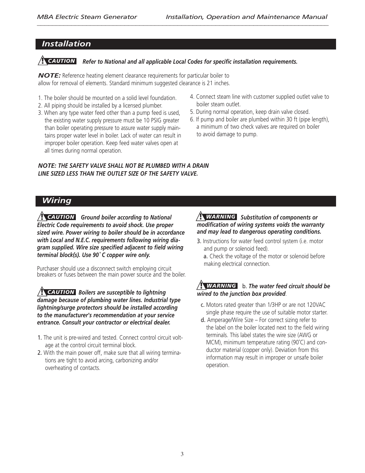## *Installation*

## *Refer to National and all applicable Local Codes for specific installation requirements.* **!** *CAUTION*

*NOTE:* Reference heating element clearance requirements for particular boiler to allow for removal of elements. Standard minimum suggested clearance is 21 inches.

- 1. The boiler should be mounted on a solid level foundation.
- 2. All piping should be installed by a licensed plumber.
- 3. When any type water feed other than a pump feed is used, the existing water supply pressure must be 10 PSIG greater than boiler operating pressure to assure water supply maintains proper water level in boiler. Lack of water can result in improper boiler operation. Keep feed water valves open at all times during normal operation.
- 4. Connect steam line with customer supplied outlet valve to boiler steam outlet.
- 5. During normal operation, keep drain valve closed.
- 6. If pump and boiler are plumbed within 30 ft (pipe length), a minimum of two check valves are required on boiler to avoid damage to pump.

#### *NOTE: THE SAFETY VALVE SHALL NOT BE PLUMBED WITH A DRAIN LINE SIZED LESS THAN THE OUTLET SIZE OF THE SAFETY VALVE.*

## *Wiring*

*Ground boiler according to National* **!** *CAUTION Electric Code requirements to avoid shock. Use proper sized wire. Power wiring to boiler should be in accordance with Local and N.E.C. requirements following wiring diagram supplied. Wire size specified adjacent to field wiring terminal block(s). Use 90˚ C copper wire only.*

Purchaser should use a disconnect switch employing circuit breakers or fuses between the main power source and the boiler.

*Boilers are susceptible to lightning* **!** *CAUTION damage because of plumbing water lines. Industrial type lightning/surge protectors should be installed according to the manufacturer's recommendation at your service entrance. Consult your contractor or electrical dealer.*

- 1. The unit is pre-wired and tested. Connect control circuit voltage at the control circuit terminal block.
- 2. With the main power off, make sure that all wiring terminations are tight to avoid arcing, carbonizing and/or overheating of contacts.

#### *Substitution of components or* **!** *WARNING modification of wiring systems voids the warranty and may lead to dangerous operating conditions.*

- 3. Instructions for water feed control system (i.e. motor and pump or solenoid feed).
	- a. Check the voltage of the motor or solenoid before making electrical connection.

### b. *The water feed circuit should be* **!** *WARNING wired to the junction box provided*.

- c. Motors rated greater than 1/3HP or are not 120VAC single phase require the use of suitable motor starter.
- d. Amperage/Wire Size For correct sizing refer to the label on the boiler located next to the field wiring terminals. This label states the wire size (AWG or MCM), minimum temperature rating (90˚C) and conductor material (copper only). Deviation from this information may result in improper or unsafe boiler operation.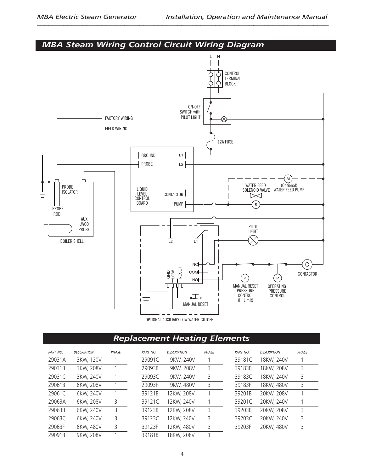*MBA Steam Wiring Control Circuit Wiring Diagram*



## *Replacement Heating Elements*

| PART NO. | <b>DESCRIPTION</b> | PHASE |
|----------|--------------------|-------|
| 29031A   | 3KW, 120V          | 1     |
| 29031B   | 3KW, 208V          | 1     |
| 29031C   | 3KW, 240V          | 1     |
| 29061B   | 6KW, 208V          | 1     |
| 29061C   | 6KW, 240V          | 1     |
| 29063A   | 6KW, 208V          | 3     |
| 29063B   | 6KW, 240V          | 3     |
| 29063C   | 6KW, 240V          | 3     |
| 29063F   | 6KW, 480V          | 3     |
| 29091B   | 9KW, 208V          | 1     |

| PART NO. | <b>DESCRIPTION</b> | PHASE |
|----------|--------------------|-------|
| 29091C   | 9KW, 240V          | 1     |
| 29093B   | 9KW, 208V          | 3     |
| 29093C   | 9KW, 240V          | 3     |
| 29093F   | 9KW, 480V          | 3     |
| 39121B   | 12KW, 208V         | 1     |
| 39121C   | 12KW, 240V         | 1     |
| 39123B   | 12KW, 208V         | 3     |
| 39123C   | 12KW, 240V         | 3     |
| 39123F   | 12KW, 480V         | 3     |
| 39181B   | 18KW, 208V         |       |

| <b>DESCRIPTION</b> | PHASE |
|--------------------|-------|
| 18KW, 240V         | 1     |
| 18KW, 208V         | 3     |
| 18KW, 240V         | 3     |
| 18KW, 480V         | 3     |
| 20KW, 208V         | 1     |
| 20KW, 240V         | 1     |
| 20KW, 208V         | 3     |
| 20KW, 240V         | 3     |
| 20KW, 480V         | 3     |
|                    |       |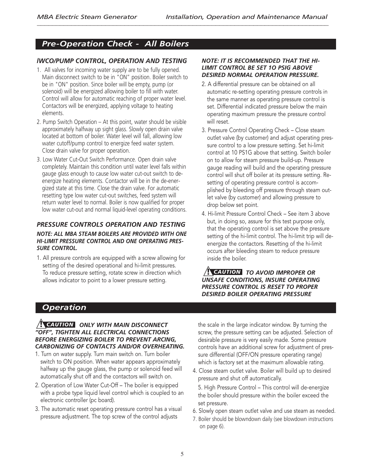## *Pre-Operation Check - All Boilers*

### *lWCO/PUMP CONTROL, OPERATION AND TESTING*

- 1. All valves for incoming water supply are to be fully opened. Main disconnect switch to be in "ON" position. Boiler switch to be in "ON" position. Since boiler will be empty, pump (or solenoid) will be energized allowing boiler to fill with water. Control will allow for automatic reaching of proper water level. Contactors will be energized, applying voltage to heating elements.
- 2. Pump Switch Operation At this point, water should be visible approximately halfway up sight glass. Slowly open drain valve located at bottom of boiler. Water level will fall, allowing low water cutoff/pump control to energize feed water system. Close drain valve for proper operation.
- 3. Low Water Cut-Out Switch Performance. Open drain valve completely. Maintain this condition until water level falls within gauge glass enough to cause low water cut-out switch to deenergize heating elements. Contactor will be in the de-energized state at this time. Close the drain valve. For automatic resetting type low water cut-out switches, feed system will return water level to normal. Boiler is now qualified for proper low water cut-out and normal liquid-level operating conditions.

### *PRESSURE CONTROLS OPERATION AND TESTING*

#### *NOTE: ALL MBA STEAM BOILERS ARE PROVIDED WITH ONE HI-LIMIT PRESSURE CONTROL AND ONE OPERATING PRES-SURE CONTROL.*

1. All pressure controls are equipped with a screw allowing for setting of the desired operational and hi-limit pressures. To reduce pressure setting, rotate screw in direction which allows indicator to point to a lower pressure setting.

#### *NOTE: IT IS RECOMMENDED THAT THE HI-LIMIT CONTROL BE SET 1O PSIG ABOVE DESIRED NORMAL OPERATION PRESSURE.*

- 2. A differential pressure can be obtained on all automatic re-setting operating pressure controls in the same manner as operating pressure control is set. Differential indicated pressure below the main operating maximum pressure the pressure control will reset.
- 3. Pressure Control Operating Check Close steam outlet valve (by customer) and adjust operating pressure control to a low pressure setting. Set hi-limit control at 10 PS1G above that setting. Switch boiler on to allow for steam pressure build-up. Pressure gauge reading will build and the operating pressure control will shut off boiler at its pressure setting. Resetting of operating pressure control is accomplished by bleeding off pressure through steam outlet valve (by customer) and allowing pressure to drop below set point.
- 4. Hi-limit Pressure Control Check See item 3 above but, in doing so, assure for this test purpose only, that the operating control is set above the pressure setting of the hi-limit control. The hi-limit trip will deenergize the contactors. Resetting of the hi-limit occurs after bleeding steam to reduce pressure inside the boiler.

#### *TO AVOID IMPROPER OR* **!** *CAUTION UNSAFE CONDITIONS, INSURE OPERATING PRESSURE CONTROL IS RESET TO PROPER DESIRED BOILER OPERATING PRESSURE*

## *Operation*

#### *ONLY WITH MAIN DISCONNECT* **!** *CAUTION"OFF", TIGHTEN ALL ELECTRICAL CONNECTIONS BEFORE ENERGIZING BOILER TO PREVENT ARCING, CARBONIZING OF CONTACTS AND/OR OVERHEATING.*

- 1. Turn on water supply. Turn main switch on. Turn boiler switch to ON position. When water appears approximately halfway up the gauge glass, the pump or solenoid feed will automatically shut off and the contactors will switch on.
- 2. Operation of Low Water Cut-Off The boiler is equipped with a probe type liquid level control which is coupled to an electronic controller (pc board).
- 3. The automatic reset operating pressure control has a visual pressure adjustment. The top screw of the control adjusts

the scale in the large indicator window. By turning the screw, the pressure setting can be adjusted. Selection of desirable pressure is very easily made. Some pressure controls have an additional screw for adjustment of pressure differential (OFF/ON pressure operating range) which is factory set at the maximum allowable rating.

4. Close steam outlet valve. Boiler will build up to desired pressure and shut off automatically.

5. High Pressure Control – This control will de-energize the boiler should pressure within the boiler exceed the set pressure.

- 6. Slowly open steam outlet valve and use steam as needed.
- 7. Boiler should be blowndown daily (see blowdown instructions on page 6).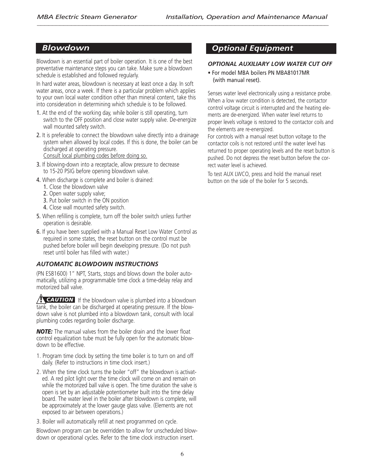### *Blowdown*

Blowdown is an essential part of boiler operation. It is one of the best preventative maintenance steps you can take. Make sure a blowdown schedule is established and followed regularly.

In hard water areas, blowdown is necessary at least once a day. In soft water areas, once a week. If there is a particular problem which applies to your own local water condition other than mineral content, take this into consideration in determining which schedule is to be followed.

- 1. At the end of the working day, while boiler is still operating, turn switch to the OFF position and close water supply valve. De-energize wall mounted safety switch.
- 2. It is preferable to connect the blowdown valve directly into a drainage system when allowed by local codes. If this is done, the boiler can be discharged at operating pressure.

Consult local plumbing codes before doing so.

- 3. If blowing-down into a receptacle, allow pressure to decrease to 15-20 PSIG before opening blowdown valve.
- 4. When discharge is complete and boiler is drained:
	- 1. Close the blowdown valve
	- 2. Open water supply valve;
	- 3. Put boiler switch in the ON position
	- 4. Close wall mounted safety switch.
- 5. When refilling is complete, turn off the boiler switch unless further operation is desirable.
- 6. If you have been supplied with a Manual Reset Low Water Control as required in some states, the reset button on the control must be pushed before boiler will begin developing pressure. (Do not push reset until boiler has filled with water.)

#### *AUTOMATIC BLOWDOWN INSTRUCTIONS*

(PN ES81600) 1" NPT, Starts, stops and blows down the boiler automatically, utilizing a programmable time clock a time-delay relay and motorized ball valve.

**If CAUTION** If the blowdown valve is plumbed into a blowdown tank, the boiler can be discharged at operating pressure. If the blowdown valve is not plumbed into a blowdown tank, consult with local plumbing codes regarding boiler discharge.

*NOTE:* The manual valves from the boiler drain and the lower float control equalization tube must be fully open for the automatic blowdown to be effective.

- 1. Program time clock by setting the time boiler is to turn on and off daily. (Refer to instructions in time clock insert.)
- 2. When the time clock turns the boiler "off" the blowdown is activated. A red pilot light over the time clock will come on and remain on while the motorized ball valve is open. The time duration the valve is open is set by an adjustable potentiometer built into the time delay board. The water level in the boiler after blowdown is complete, will be approximately at the lower gauge glass valve. (Elements are not exposed to air between operations.)
- 3. Boiler will automatically refill at next programmed on cycle.

Blowdown program can be overridden to allow for unscheduled blowdown or operational cycles. Refer to the time clock instruction insert.

## *Optional Equipment*

#### *OPTIONAL AUXILIARY LOW WATER CUT OFF*

• For model MBA boilers PN MBA81017MR (with manual reset).

Senses water level electronically using a resistance probe. When a low water condition is detected, the contactor control voltage circuit is interrupted and the heating elements are de-energized. When water level returns to proper levels voltage is restored to the contactor coils and the elements are re-energized.

For controls with a manual reset button voltage to the contactor coils is not restored until the water level has returned to proper operating levels and the reset button is pushed. Do not depress the reset button before the correct water level is achieved.

To test AUX LWCO, press and hold the manual reset button on the side of the boiler for 5 seconds.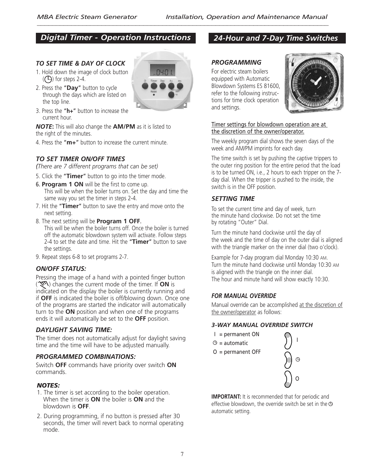## *Digital Timer - Operation Instructions*

#### *TO SET TIME & DAY OF CLOCK*

- 1. Hold down the image of clock button  $(Q)$  for steps 2-4.
- 2. Press the "**Day**" button to cycle through the days which are listed on the top line.



*NOTE***:** This will also change the **AM/PM** as it is listed to the right of the minutes.

4. Press the "**m+**" button to increase the current minute.

### *TO SET TIMER ON/OFF TIMES*

*(There are 7 different programs that can be set)*

- 5. Click the "**Timer**" button to go into the timer mode.
- 6. **Program 1 ON** will be the first to come up.

This will be when the boiler turns on. Set the day and time the same way you set the timer in steps 2-4.

- 7. Hit the "**Timer**" button to save the entry and move onto the next setting.
- 8. The next setting will be **Program 1 OFF**. This will be when the boiler turns off. Once the boiler is turned off the automatic blowdown system will activate. Follow steps 2-4 to set the date and time. Hit the "**Timer**" button to save the settings.
- 9. Repeat steps 6-8 to set programs 2-7.

#### *ON/OFF STATUS:*

Pressing the image of a hand with a pointed finger button ( ) changes the current mode of the timer. If **ON** is indicated on the display the boiler is currently running and if **OFF** is indicated the boiler is off/blowing down. Once one of the programs are started the indicator will automatically turn to the **ON** position and when one of the programs ends it will automatically be set to the **OFF** position.

#### *DAYLIGHT SAVING TIME:*

The timer does not automatically adjust for daylight saving time and the time will have to be adjusted manually.

#### *PROGRAMMED COMBINATIONS:*

Switch **OFF** commands have priority over switch **ON** commands.

#### *NOTES:*

- 1. The timer is set according to the boiler operation. When the timer is **ON** the boiler is **ON** and the blowdown is **OFF**.
- 2. During programming, if no button is pressed after 30 seconds, the timer will revert back to normal operating mode.

### *PROGRAMMING* For electric steam boilers

equipped with Automatic Blowdown Systems ES 81600, refer to the following instructions for time clock operation and settings.



Timer settings for blowdown operation are at the discretion of the owner/operator.

The weekly program dial shows the seven days of the week and AM/PM imprints for each day.

The time switch is set by pushing the captive trippers to the outer ring position for the entire period that the load is to be turned ON, i.e., 2 hours to each tripper on the 7 day dial. When the tripper is pushed to the inside, the switch is in the OFF position.

#### *SETTING TIME*

To set the current time and day of week, turn the minute hand clockwise. Do not set the time by rotating "Outer" Dial.

Turn the minute hand clockwise until the day of the week and the time of day on the outer dial is aligned with the triangle marker on the inner dial (two o'clock).

Example for 7-day program dial Monday 10:30 AM. Turn the minute hand clockwise until Monday 10:30 AM is aligned with the triangle on the inner dial. The hour and minute hand will show exactly 10:30.

#### *FOR MANUAL OVERRIDE*

Manual override can be accomplished at the discretion of the owner/operator as follows:

#### *3-WAY MANUAL OVERRIDE SWITCH*

- I = permanent ON
- $\Theta$  = automatic
- O = permanent OFF



**IMPORTANT:** It is recommended that for periodic and effective blowdown, the override switch be set in the  $\Theta$ automatic setting.

### *24-Hour and 7-Day Time Switches*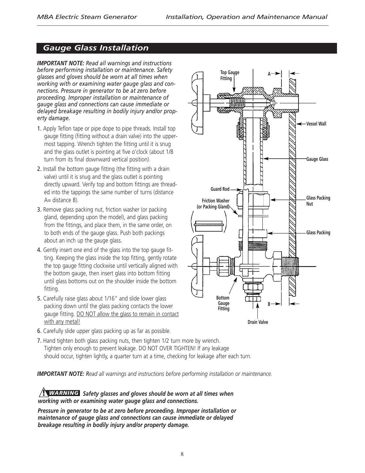## *Gauge Glass Installation*

*IMPORTANT NOTE: Read all warnings and instructions before performing installation or maintenance. Safety glasses and gloves should be worn at all times when working with or examining water gauge glass and connections. Pressure in generator to be at zero before proceeding. Improper installation or maintenance of gauge glass and connections can cause immediate or delayed breakage resulting in bodily injury and/or property damage.*

- 1. Apply Teflon tape or pipe dope to pipe threads. Install top gauge fitting (fitting without a drain valve) into the uppermost tapping. Wrench tighten the fitting until it is snug and the glass outlet is pointing at five o'clock (about 1/8 turn from its final downward vertical position).
- 2. Install the bottom gauge fitting (the fitting with a drain valve) until it is snug and the glass outlet is pointing directly upward. Verify top and bottom fittings are threaded into the tappings the same number of turns (distance  $A=$  distance B).
- 3. Remove glass packing nut, friction washer (or packing gland, depending upon the model), and glass packing from the fittings, and place them, in the same order, on to both ends of the gauge glass. Push both packings about an inch up the gauge glass.
- 4. Gently insert one end of the glass into the top gauge fitting. Keeping the glass inside the top fitting, gently rotate the top gauge fitting clockwise until vertically aligned with the bottom gauge, then insert glass into bottom fitting until glass bottoms out on the shoulder inside the bottom fitting.
- 5. Carefully raise glass about 1/16" and slide lower glass packing down until the glass packing contacts the lower gauge fitting. DO NOT allow the glass to remain in contact with any metal!
- **Top Gauge A Fitting** ANNAN **Vessel Wall Gauge Glass Guard Rod Glass Packing Friction Washer Nut (or Packing Gland) Glass Packing Bottom Gauge B Fitting**



- 6. Carefully slide upper glass packing up as far as possible.
- 7. Hand tighten both glass packing nuts, then tighten 1/2 turn more by wrench. Tighten only enough to prevent leakage. DO NOT OVER TIGHTEN! If any leakage should occur, tighten lightly, a quarter turn at a time, checking for leakage after each turn.

*IMPORTANT NOTE: Read all warnings and instructions before performing installation or maintenance.*

#### *Safety glasses and gloves should be worn at all times when* **!** *WARNINGworking with or examining water gauge glass and connections.*

*Pressure in generator to be at zero before proceeding. Improper installation or maintenance of gauge glass and connections can cause immediate or delayed breakage resulting in bodily injury and/or property damage.*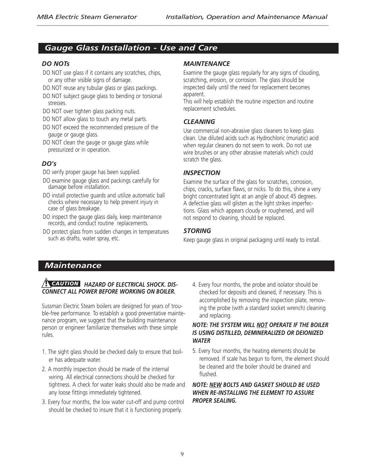## *Gauge Glass Installation - Use and Care*

#### *DO NOTs*

- DO NOT use glass if it contains any scratches, chips, or any other visible signs of damage.
- DO NOT reuse any tubular glass or glass packings.
- DO NOT subject gauge glass to bending or torsional stresses.
- DO NOT over tighten glass packing nuts.
- DO NOT allow glass to touch any metal parts.
- DO NOT exceed the recommended pressure of the gauge or gauge glass.
- DO NOT clean the gauge or gauge glass while pressurized or in operation.

### *DO's*

DO verify proper gauge has been supplied.

- DO examine gauge glass and packings carefully for damage before installation.
- DO install protective guards and utilize automatic ball checks where necessary to help prevent injury in case of glass breakage.
- DO inspect the gauge glass daily, keep maintenance records, and conduct routine replacements.
- DO protect glass from sudden changes in temperatures such as drafts, water spray, etc.

#### *MAINTENANCE*

Examine the gauge glass regularly for any signs of clouding, scratching, erosion, or corrosion. The glass should be inspected daily until the need for replacement becomes apparent.

This will help establish the routine inspection and routine replacement schedules.

### *CLEANING*

Use commercial non-abrasive glass cleaners to keep glass clean. Use diluted acids such as Hydrochloric (muriatic) acid when regular cleaners do not seem to work. Do not use wire brushes or any other abrasive materials which could scratch the glass.

#### *INSPECTION*

Examine the surface of the glass for scratches, corrosion, chips, cracks, surface flaws, or nicks. To do this, shine a very bright concentrated light at an angle of about 45 degrees. A defective glass will glisten as the light strikes imperfections. Glass which appears cloudy or roughened, and will not respond to cleaning, should be replaced.

### *STORING*

Keep gauge glass in original packaging until ready to install.

## *Maintenance*

#### **HAZARD OF ELECTRICAL SHOCK. DIS-** 4. Every four months, the probe and isolator should be *CONNECT ALL POWER BEFORE WORKING ON BOILER.*

Sussman Electric Steam boilers are designed for years of trouble-free performance. To establish a good preventative maintenance program, we suggest that the building maintenance person or engineer familiarize themselves with these simple rules.

- 1. The sight glass should be checked daily to ensure that boiler has adequate water.
- 2. A monthly inspection should be made of the internal wiring. All electrical connections should be checked for tightness. A check for water leaks should also be made and any loose fittings immediately tightened.
- 3. Every four months, the low water cut-off and pump control should be checked to insure that it is functioning properly.

checked for deposits and cleaned, if necessary. This is accomplished by removing the inspection plate, removing the probe (with a standard socket wrench) cleaning and replacing.

#### *NOTE: THE SYSTEM WILL NOT OPERATE IF THE BOILER IS USING DISTILLED, DEMINERALIZED OR DEIONIZED WATER*

5. Every four months, the heating elements should be removed. If scale has begun to form, the element should be cleaned and the boiler should be drained and flushed.

#### *NOTE: NEW BOLTS AND GASKET SHOULD BE USED WHEN RE-INSTALLING THE ELEMENT TO ASSURE PROPER SEALING.*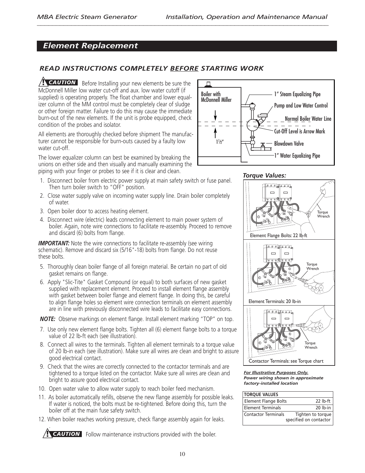## *Element Replacement*

### *READ INSTRUCTIONS COMPLETELY BEFORE STARTING WORK*

Before Installing your new elements be sure the **!** *CAUTION* McDonnell Miller low water cut-off and aux. low water cutoff (if supplied) is operating properly. The float chamber and lower equalizer column of the MM control must be completely clear of sludge or other foreign matter. Failure to do this may cause the immediate burn-out of the new elements. If the unit is probe equipped, check condition of the probes and isolator.

All elements are thoroughly checked before shipment The manufacturer cannot be responsible for burn-outs caused by a faulty low water cut-off.

The lower equalizer column can best be examined by breaking the unions on either side and then visually and manually examining the piping with your finger or probes to see if it is clear and clean.

- 1. Disconnect boiler from electric power supply at main safety switch or fuse panel. Then turn boiler switch to "OFF" position.
- 2. Close water supply valve on incoming water supply line. Drain boiler completely of water.
- 3. Open boiler door to access heating element.
- 4. Disconnect wire (electric) leads connecting element to main power system of boiler. Again, note wire connections to facilitate re-assembly. Proceed to remove and discard (6) bolts from flange.

**IMPORTANT:** Note the wire connections to facilitate re-assembly (see wiring schematic). Remove and discard six (5/16"-18) bolts from flange. Do not reuse these bolts.

- 5. Thoroughly clean boiler flange of all foreign material. Be certain no part of old gasket remains on flange.
- 6. Apply "Slic-Tite" Gasket Compound (or equal) to both surfaces of new gasket supplied with replacement element. Proceed to install element flange assembly with gasket between boiler flange and element flange. In doing this, be careful to align flange holes so element wire connection terminals on element assembly are in line with previously disconnected wire leads to facilitate easy connections.

*NOTE:* Observe markings on element flange. Install element marking "TOP" on top.

- 7. Use only new element flange bolts. Tighten all (6) element flange bolts to a torque value of 22 lb-ft each (see illustration).
- 8. Connect all wires to the terminals. Tighten all element terminals to a torque value of 20 lb-in each (see illustration). Make sure all wires are clean and bright to assure good electrical contact.
- 9. Check that the wires are correctly connected to the contactor terminals and are tightened to a torque listed on the contactor. Make sure all wires are clean and bright to assure good electrical contact.
- 10. Open water valve to allow water supply to reach boiler feed mechanism.
- 11. As boiler automatically refills, observe the new flange assembly for possible leaks. If water is noticed, the bolts must be re-tightened. Before doing this, turn the boiler off at the main fuse safety switch.
- 12. When boiler reaches working pressure, check flange assembly again for leaks.

.

**P** CAUTION Follow maintenance instructions provided with the boiler.







*For Illustrative Purposes Only. Power wiring shown in approximate factory-installed location*

| <b>TORQUE VALUES</b>        |                                             |
|-----------------------------|---------------------------------------------|
| <b>Element Flange Bolts</b> | $22$ lb-ft                                  |
| <b>Element Terminals</b>    | $20$ lb-in                                  |
| <b>Contactor Terminals</b>  | Tighten to torque<br>specified on contactor |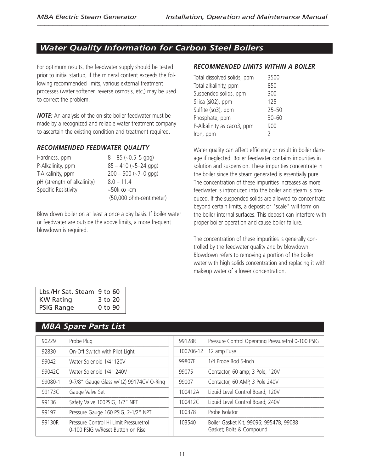## *Water Quality Information for Carbon Steel Boilers*

For optimum results, the feedwater supply should be tested prior to initial startup, if the mineral content exceeds the following recommended limits, various external treatment processes (water softener, reverse osmosis, etc,) may be used to correct the problem.

*NOTE:* An analysis of the on-site boiler feedwater must be made by a recognized and reliable water treatment company to ascertain the existing condition and treatment required.

#### *RECOMMENDED FEEDWATER QUALITY*

| Hardness, ppm               | $8 - 85$ (~0.5-5 gpg)   |
|-----------------------------|-------------------------|
| P-Alkalinity, ppm           | $85 - 410$ (~5-24 gpg)  |
| T-Alkalinity, ppm           | $200 - 500$ (~7-0 gpg)  |
| pH (strength of alkalinity) | $8.0 - 11.4$            |
| Specific Resistivity        | $~50k$ $\omega$ -cm     |
|                             | (50,000 ohm-centimeter) |

Blow down boiler on at least a once a day basis. If boiler water or feedwater are outside the above limits, a more frequent blowdown is required.

#### *RECOMMENDED LIMITS WITHIN A BOILER*

| Total dissolved solids, ppm | 3500      |
|-----------------------------|-----------|
| Total alkalinity, ppm       | 850       |
| Suspended solids, ppm       | 300       |
| Silica (si02), ppm          | 125       |
| Sulfite (so3), ppm          | $25 - 50$ |
| Phosphate, ppm              | $30 - 60$ |
| P-Alkalinity as caco3, ppm  | 900       |
| Iron, ppm                   | 2         |
|                             |           |

Water quality can affect efficiency or result in boiler damage if neglected. Boiler feedwater contains impurities in solution and suspension. These impurities concentrate in the boiler since the steam generated is essentially pure. The concentration of these impurities increases as more feedwater is introduced into the boiler and steam is produced. If the suspended solids are allowed to concentrate beyond certain limits, a deposit or "scale" will form on the boiler internal surfaces. This deposit can interfere with proper boiler operation and cause boiler failure.

The concentration of these impurities is generally controlled by the feedwater quality and by blowdown. Blowdown refers to removing a portion of the boiler water with high solids concentration and replacing it with makeup water of a lower concentration.

| Lbs./Hr Sat. Steam 9 to 60 |         |
|----------------------------|---------|
| <b>KW Rating</b>           | 3 to 20 |
| <b>PSIG Range</b>          | 0 to 90 |

## *MBA Spare Parts List*

| 90229   | Probe Plug                                                                  | 99128R    | Pressure Control Operating Pressuretrol 0-100 PSIG                  |
|---------|-----------------------------------------------------------------------------|-----------|---------------------------------------------------------------------|
| 92830   | On-Off Switch with Pilot Light                                              | 100706-12 | 12 amp Fuse                                                         |
| 99042   | Water Solenoid 1/4"120V                                                     | 99807F    | 1/4 Probe Rod 5-Inch                                                |
| 99042C  | Water Solenoid 1/4" 240V                                                    | 99075     | Contactor, 60 amp; 3 Pole, 120V                                     |
| 99080-1 | 9-7/8" Gauge Glass w/ (2) 99174CV O-Ring                                    | 99007     | Contactor, 60 AMP, 3 Pole 240V                                      |
| 99173C  | Gauge Valve Set                                                             | 100412A   | Liquid Level Control Board; 120V                                    |
| 99136   | Safety Valve 100PSIG, 1/2" NPT                                              | 100412C   | Liquid Level Control Board; 240V                                    |
| 99197   | Pressure Gauge 160 PSIG, 2-1/2" NPT                                         | 100378    | Probe Isolator                                                      |
| 99130R  | Pressure Control Hi Limit Pressuretrol<br>0-100 PSIG w/Reset Button on Rise | 103540    | Boiler Gasket Kit, 99096; 99547B, 99088<br>Gasket; Bolts & Compound |